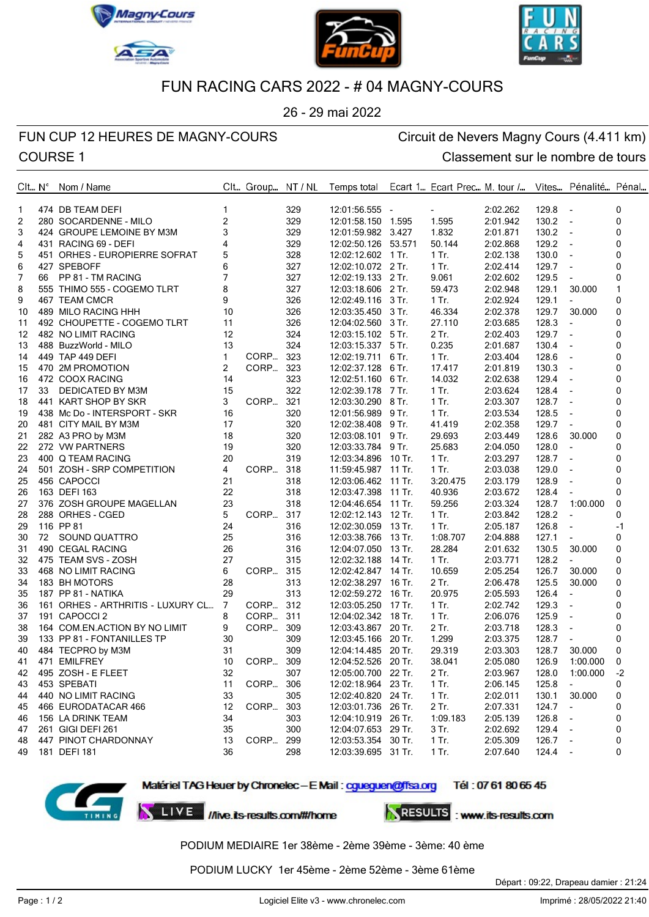







# FUN RACING CARS 2022 - # 04 MAGNY-COURS

26 - 29 mai 2022

### FUN CUP 12 HEURES DE MAGNY-COURS Circuit de Nevers Magny Cours (4.411 km) COURSE 1 Classement sur le nombre de tours

| $Clt$ $N^{\circ}$ |    | Nom / Name                        |                  | CIt Group NT / NL |     | Temps total Ecart 1 Ecart Prec M. tour / Vites Pénalité Pénal |        |                |          |           |                          |              |
|-------------------|----|-----------------------------------|------------------|-------------------|-----|---------------------------------------------------------------|--------|----------------|----------|-----------|--------------------------|--------------|
| $\mathbf{1}$      |    | 474 DB TEAM DEFI                  | 1                |                   | 329 | 12:01:56.555 -                                                |        | $\blacksquare$ | 2:02.262 | 129.8     | $\sim$                   | 0            |
| 2                 |    | 280 SOCARDENNE - MILO             | $\boldsymbol{2}$ |                   | 329 | 12:01:58.150 1.595                                            |        | 1.595          | 2:01.942 | 130.2     | $\sim$                   | 0            |
| 3                 |    | 424 GROUPE LEMOINE BY M3M         | 3                |                   | 329 | 12:01:59.982 3.427                                            |        | 1.832          | 2:01.871 | 130.2     | $\sim$                   | 0            |
| 4                 |    | 431 RACING 69 - DEFI              | 4                |                   | 329 | 12:02:50.126 53.571                                           |        | 50.144         | 2:02.868 | 129.2     | $\sim$                   | 0            |
| 5                 |    | 451 ORHES - EUROPIERRE SOFRAT     | 5                |                   | 328 | 12:02:12.602 1 Tr.                                            |        | $1$ Tr.        | 2:02.138 | 130.0     | $\sim$                   | 0            |
| 6                 |    | 427 SPEBOFF                       | 6                |                   | 327 | 12:02:10.072 2 Tr.                                            |        | $1$ Tr.        | 2:02.414 | 129.7     | $\sim$                   | 0            |
| $\overline{7}$    | 66 | PP 81 - TM RACING                 | 7                |                   | 327 | 12:02:19.133 2 Tr.                                            |        | 9.061          | 2:02.602 | 129.5     | $\blacksquare$           | 0            |
| 8                 |    | 555 THIMO 555 - COGEMO TLRT       | 8                |                   | 327 | 12:03:18.606 2 Tr.                                            |        | 59.473         | 2:02.948 | 129.1     | 30.000                   | 1            |
| 9                 |    | 467 TEAM CMCR                     | 9                |                   | 326 | 12:02:49.116 3 Tr.                                            |        | $1$ Tr.        | 2:02.924 | 129.1     | $\mathbf{r}$             | 0            |
| 10                |    | 489 MILO RACING HHH               | 10               |                   | 326 | 12:03:35.450 3 Tr.                                            |        | 46.334         | 2:02.378 | 129.7     | 30.000                   | 0            |
| 11                |    | 492 CHOUPETTE - COGEMO TLRT       | 11               |                   | 326 | 12:04:02.560 3 Tr.                                            |        | 27.110         | 2:03.685 | 128.3     | $\overline{\phantom{a}}$ | 0            |
| 12                |    | 482 NO LIMIT RACING               | 12               |                   | 324 | 12:03:15.102 5 Tr.                                            |        | 2 Tr.          | 2:02.403 | 129.7     | $\sim$                   | 0            |
| 13                |    | 488 BuzzWorld - MILO              | 13               |                   | 324 | 12:03:15.337 5 Tr.                                            |        | 0.235          | 2:01.687 | 130.4     | $\overline{\phantom{a}}$ | 0            |
| 14                |    | 449 TAP 449 DEFI                  | $\mathbf{1}$     | CORP              | 323 | $12:02:19.711$ 6 Tr.                                          |        | $1$ Tr.        | 2:03.404 | 128.6     | $\sim$                   | 0            |
| 15                |    | 470 2M PROMOTION                  | $\overline{2}$   | CORP              | 323 | 12:02:37.128 6 Tr.                                            |        | 17.417         | 2:01.819 | 130.3     | $\sim$                   | 0            |
| 16                |    | 472 COOX RACING                   | 14               |                   | 323 | 12:02:51.160 6 Tr.                                            |        | 14.032         | 2:02.638 | 129.4     | $\sim$                   | 0            |
| 17                | 33 | DEDICATED BY M3M                  | 15               |                   | 322 | 12:02:39.178 7 Tr.                                            |        | $1$ Tr.        | 2:03.624 | 128.4     | $\sim$                   | 0            |
| 18                |    | 441 KART SHOP BY SKR              | 3                | CORP              | 321 | 12:03:30.290 8 Tr.                                            |        | $1$ Tr.        | 2:03.307 | 128.7     | $\sim$                   | 0            |
| 19                |    | 438 Mc Do - INTERSPORT - SKR      | 16               |                   | 320 | 12:01:56.989 9 Tr.                                            |        | $1$ Tr.        | 2:03.534 | 128.5     |                          | 0            |
| 20                |    | 481 CITY MAIL BY M3M              | 17               |                   | 320 | 12:02:38.408 9 Tr.                                            |        | 41.419         | 2:02.358 | 129.7     |                          | 0            |
| 21                |    | 282 A3 PRO by M3M                 | 18               |                   | 320 | 12:03:08.101 9 Tr.                                            |        | 29.693         | 2:03.449 | 128.6     | 30.000                   | 0            |
| 22                |    | 272 VW PARTNERS                   | 19               |                   | 320 | 12:03:33.784 9 Tr.                                            |        | 25.683         | 2:04.050 | 128.0     | $\blacksquare$           | $\mathbf 0$  |
| 23                |    | 400 Q TEAM RACING                 | 20               |                   | 319 | 12:03:34.896 10 Tr.                                           |        | $1$ Tr.        | 2:03.297 | 128.7     | $\sim$                   | 0            |
| 24                |    | 501 ZOSH - SRP COMPETITION        | 4                | CORP              | 318 | 11:59:45.987 11 Tr.                                           |        | $1$ Tr.        | 2:03.038 | 129.0     | $\blacksquare$           | 0            |
| 25                |    | 456 CAPOCCI                       | 21               |                   | 318 | 12:03:06.462 11 Tr.                                           |        | 3:20.475       | 2:03.179 | 128.9     | $\sim$                   | 0            |
| 26                |    | 163 DEFI 163                      | 22               |                   | 318 | 12:03:47.398 11 Tr.                                           |        | 40.936         | 2:03.672 | 128.4     |                          | $\mathbf 0$  |
| 27                |    | 376 ZOSH GROUPE MAGELLAN          | 23               |                   | 318 | 12:04:46.654 11 Tr.                                           |        | 59.256         | 2:03.324 | 128.7     | 1:00.000                 | 0            |
| 28                |    | 288 ORHES - CGED                  | 5                | CORP              | 317 | 12:02:12.143 12 Tr.                                           |        | $1$ Tr.        | 2:03.842 | 128.2     | $\sim$                   | 0            |
| 29                |    | 116 PP 81                         | 24               |                   | 316 | 12:02:30.059 13 Tr.                                           |        | $1$ Tr.        | 2:05.187 | 126.8     | $\overline{\phantom{a}}$ | $-1$         |
| 30                | 72 | SOUND QUATTRO                     | 25               |                   | 316 | 12:03:38.766 13 Tr.                                           |        | 1:08.707       | 2:04.888 | 127.1     |                          | 0            |
| 31                |    | 490 CEGAL RACING                  | 26               |                   | 316 | 12:04:07.050 13 Tr.                                           |        | 28.284         | 2:01.632 | 130.5     | 30.000                   | 0            |
| 32                |    | 475 TEAM SVS - ZOSH               | 27               |                   | 315 | 12:02:32.188                                                  | 14 Tr. | $1$ Tr.        | 2:03.771 | 128.2     | $\blacksquare$           | 0            |
| 33                |    | 468 NO LIMIT RACING               | 6                | CORP              | 315 | 12:02:42.847 14 Tr.                                           |        | 10.659         | 2:05.254 | 126.7     | 30.000                   | 0            |
| 34                |    | 183 BH MOTORS                     | 28               |                   | 313 | 12:02:38.297 16 Tr.                                           |        | 2 Tr.          | 2:06.478 | 125.5     | 30.000                   | 0            |
| 35                |    | 187 PP 81 - NATIKA                | 29               |                   | 313 | 12:02:59.272 16 Tr.                                           |        | 20.975         | 2:05.593 | 126.4     | $\sim$                   | 0            |
| 36                |    | 161 ORHES - ARTHRITIS - LUXURY CL | $\overline{7}$   | CORP. 312         |     | 12:03:05.250 17 Tr.                                           |        | $1$ Tr.        | 2:02.742 | 129.3     | $\sim$                   | 0            |
| 37                |    | 191 CAPOCCI 2                     | 8                | CORP              | 311 | 12:04:02.342 18 Tr.                                           |        | $1$ Tr.        | 2:06.076 | 125.9     | $\blacksquare$           | 0            |
| 38                |    | 164 COM.EN.ACTION BY NO LIMIT     | 9                | CORP. 309         |     | 12:03:43.867 20 Tr.                                           |        | 2 Tr.          | 2:03.718 | 128.3     | $\blacksquare$           | 0            |
| 39                |    | 133 PP 81 - FONTANILLES TP        | 30               |                   | 309 | 12:03:45.166 20 Tr.                                           |        | 1.299          | 2:03.375 | 128.7     | $\overline{\phantom{a}}$ | 0            |
| 40                |    | 484 TECPRO by M3M                 | 31               |                   | 309 | 12:04:14.485 20 Tr.                                           |        | 29.319         | 2:03.303 | 128.7     | 30.000                   | 0            |
| 41                |    | 471 EMILFREY                      | 10               | CORP              | 309 | 12:04:52.526 20 Tr.                                           |        | 38.041         | 2:05.080 | 126.9     | 1:00.000                 | $\mathbf{0}$ |
| 42                |    | 495 ZOSH - E FLEET                | 32               |                   | 307 | 12:05:00.700 22 Tr.                                           |        | 2 Tr.          | 2:03.967 | 128.0     | 1:00.000                 | $-2$         |
| 43                |    | 453 SPEBATI                       | 11               | CORP              | 306 | 12:02:18.964 23 Tr.                                           |        | 1 Tr.          | 2:06.145 | 125.8     | $\blacksquare$           | 0            |
| 44                |    | 440 NO LIMIT RACING               | 33               |                   | 305 | 12:02:40.820 24 Tr.                                           |        | $1$ Tr.        | 2:02.011 | 130.1     | 30.000                   | 0            |
| 45                |    | 466 EURODATACAR 466               | 12               | CORP              | 303 | 12:03:01.736 26 Tr.                                           |        | 2 Tr.          | 2:07.331 | 124.7     | $\blacksquare$           | 0            |
| 46                |    | 156 LA DRINK TEAM                 | 34               |                   | 303 | 12:04:10.919 26 Tr.                                           |        | 1:09.183       | 2:05.139 | 126.8     | $\sim$                   | 0            |
| 47                |    | 261 GIGI DEFI 261                 | 35               |                   | 300 | 12:04:07.653 29 Tr.                                           |        | 3 Tr.          | 2:02.692 | $129.4 -$ |                          | 0            |
| 48                |    | 447 PINOT CHARDONNAY              | 13               | CORP              | 299 | 12:03:53.354 30 Tr.                                           |        | 1 Tr.          | 2:05.309 | $126.7 -$ |                          | 0            |
| 49                |    | 181 DEFI 181                      | 36               |                   | 298 | 12:03:39.695 31 Tr.                                           |        | $1$ Tr.        | 2:07.640 | $124.4 -$ |                          | 0            |

Matériel TAG Heuer by Chronelec - E Mail: cgueguen@ffsa.org Tél: 0761 8065 45



LIVE //live.its-results.com/#/home

RESULTS : www.its-results.com

PODIUM MEDIAIRE 1er 38ème - 2ème 39ème - 3ème: 40 ème

PODIUM LUCKY 1er 45ème - 2ème 52ème - 3ème 61ème